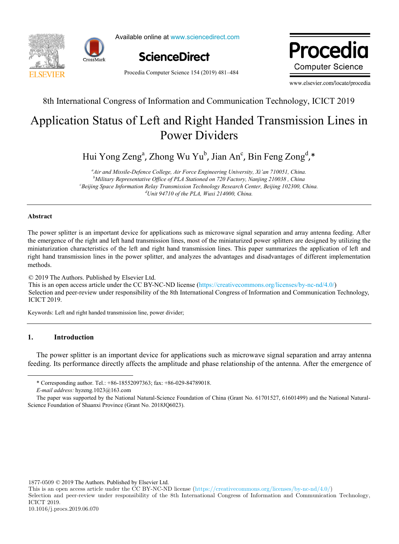



Available online at www.sciencedirect.com



Procedia Computer Science 154 (2019) 481–484

Drocadio ww.elsevier.com **Computer Science** 

www.elsevier.com/locate/procedia

8th International Congress of Information and Communication Technology, ICICT 2019

#### plication Status of Left and Right Handed Transmission Line Power Dividers Application Status of Left and Right Handed Transmission Lines in and Right Hair Application Status of Left and Right Handed Transmission Lines in Power Dividers

 $\lambda$ hong Wu Yu $\mu$ , Jian And  $\frac{1}{2}$ ,  $\frac{1}{2}$ ,  $\frac{1}{2}$ ,  $\frac{1}{2}$ ,  $\frac{1}{2}$ ,  $\frac{1}{2}$ ,  $\frac{1}{2}$ ,  $\frac{1}{2}$ ,  $\frac{1}{2}$ ,  $\frac{1}{2}$ ,  $\frac{1}{2}$ ,  $\frac{1}{2}$ ,  $\frac{1}{2}$ ,  $\frac{1}{2}$ ,  $\frac{1}{2}$ ,  $\frac{1}{2}$ ,  $\frac{1}{2}$ ,  $\frac{1}{2}$ ,  $\frac{1}{2}$ ,  $\frac{1}{2}$ , Hui Yong Zeng<sup>a</sup>, Zhong Wu Yu<sup>b</sup>, Jian An<sup>c</sup>, Bin Feng Zong<sup>d</sup>,\* *Air and Missile-Defence College, Air Force Engineering University, Xi'an 710051, China.*

and Missile-Defence College, Air Force Engineering University, Xi'an 710051, China <sup>b</sup>Military Representative Office of PLA Stationed on 720 Factory, Nanjing 210038 , China *d Unit 94710 of the PLA, Wuxi 214000, China. c Beijing Space Information Relay Transmission Technology Research Center, Beijing 102300, China. d Unit 94710 of the PLA, Wuxi 214000, China.*

#### $\Delta$ hstract **Abstract**

The power splitter is an important device for applications such as microwave signal separation and array antenna feeding. After the emergence of the right and left hand transmission lines, most of the miniaturized power splitters are designed by utilizing the miniaturization characteristics of the left and right hand transmission lines. This paper summarizes the application of left and right hand transmission lines in the power splitt<br>methods. The power splitter is an important device for applications such as microwave signal separation and array antenna feeding. After the emergence of the right and left hand transmission lines, most of the miniaturized power sp methods.

© 2019 The Authors. Published by Elsevier Ltd. This is an open access article under the CC BY-NC-ND license (https://creativecommons.org/licenses/by-nc-nd/4.0/) Selection and peer-review under responsibility of the 8th International Congress of Information and Communication Technology, ICICT 2019.  $K<sub>1</sub>$ , internet  $\frac{1}{2019}$ , innovative models; innovative models; innovative models; innovative models; in novative models; in novative models; in novative models; in novative models; in novative models; in novativ Person under review under responsibility of the 8th International Congress of Information and Communication Technology,

Keywords: Left and right handed transmission line, power divider; Keywords: Left and right handed transmission line, power divider;

#### $1.$ **1. Introduction**

1

department of Shandong Business Institute, research direction: design science; The power splitter is an important device for applications such as microwave signal separation and array antenna feeding. Its performance directly affects the amplitude and phase relationship of the antenna. After the emergence of Fund Project: Shandong University Humanities and Social Sciences Research Project "Investigation on the Visualization of Qilu Classic Folk feeding. Its performance directly affects the amplitude and phase relationship of the antenna. After the emergence of

1877-0509 © 2019 The Authors. Published by Elsevier Ltd.

Selection and peer-review under responsibility of the 8th International Congress of Information and Communication Technology, ICICT 2019.

<sup>\*</sup> Corresponding author. Tel.: +86-18552097363; fax: +86-029-84789018.

 $E$ -mail address: hyzeng.1023@163.com

 $L$  man aan ess. Hyzeng.  $1025(0.1)$ The paper was supported by the National Natural-Science Foundation of China (Grant No. 61701527, 61601499) and the National Natural-<br>since Foundation of Shanni Dravings (Crant Na. 2018JOC022) Science Foundation of Shaanxi Province (Grant No. 2018JQ6023).

This is an open access article under the CC BY-NC-ND license (https://creativecommons.org/licenses/by-nc-nd/4.0/)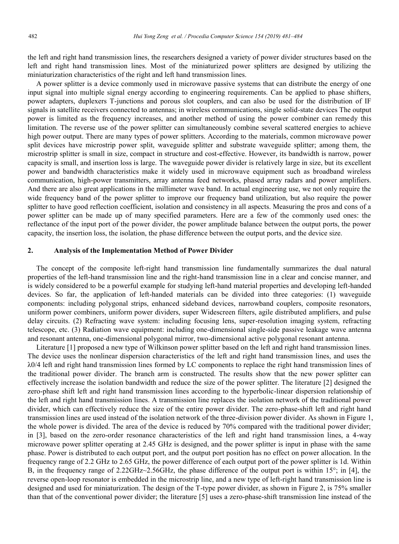the left and right hand transmission lines, the researchers designed a variety of power divider structures based on the left and right hand transmission lines. Most of the miniaturized power splitters are designed by utilizing the miniaturization characteristics of the right and left hand transmission lines.

A power splitter is a device commonly used in microwave passive systems that can distribute the energy of one input signal into multiple signal energy according to engineering requirements. Can be applied to phase shifters, power adapters, duplexers T-junctions and porous slot couplers, and can also be used for the distribution of IF signals in satellite receivers connected to antennas; in wireless communications, single solid-state devices The output power is limited as the frequency increases, and another method of using the power combiner can remedy this limitation. The reverse use of the power splitter can simultaneously combine several scattered energies to achieve high power output. There are many types of power splitters. According to the materials, common microwave power split devices have microstrip power split, waveguide splitter and substrate waveguide splitter; among them, the microstrip splitter is small in size, compact in structure and cost-effective. However, its bandwidth is narrow, power capacity is small, and insertion loss is large. The waveguide power divider is relatively large in size, but its excellent power and bandwidth characteristics make it widely used in microwave equipment such as broadband wireless communication, high-power transmitters, array antenna feed networks, phased array radars and power amplifiers. And there are also great applications in the millimeter wave band. In actual engineering use, we not only require the wide frequency band of the power splitter to improve our frequency band utilization, but also require the power splitter to have good reflection coefficient, isolation and consistency in all aspects. Measuring the pros and cons of a power splitter can be made up of many specified parameters. Here are a few of the commonly used ones: the reflectance of the input port of the power divider, the power amplitude balance between the output ports, the power capacity, the insertion loss, the isolation, the phase difference between the output ports, and the device size.

# **2. Analysis of the Implementation Method of Power Divider**

The concept of the composite left-right hand transmission line fundamentally summarizes the dual natural properties of the left-hand transmission line and the right-hand transmission line in a clear and concise manner, and is widely considered to be a powerful example for studying left-hand material properties and developing left-handed devices. So far, the application of left-handed materials can be divided into three categories: (1) waveguide components: including polygonal strips, enhanced sideband devices, narrowband couplers, composite resonators, uniform power combiners, uniform power dividers, super Widescreen filters, agile distributed amplifiers, and pulse delay circuits. (2) Refracting wave system: including focusing lens, super-resolution imaging system, refracting telescope, etc. (3) Radiation wave equipment: including one-dimensional single-side passive leakage wave antenna and resonant antenna, one-dimensional polygonal mirror, two-dimensional active polygonal resonant antenna.

Literature [1] proposed a new type of Wilkinson power splitter based on the left and right hand transmission lines. The device uses the nonlinear dispersion characteristics of the left and right hand transmission lines, and uses the λ0/4 left and right hand transmission lines formed by LC components to replace the right hand transmission lines of the traditional power divider. The branch arm is constructed. The results show that the new power splitter can effectively increase the isolation bandwidth and reduce the size of the power splitter. The literature [2] designed the zero-phase shift left and right hand transmission lines according to the hyperbolic-linear dispersion relationship of the left and right hand transmission lines. A transmission line replaces the isolation network of the traditional power divider, which can effectively reduce the size of the entire power divider. The zero-phase-shift left and right hand transmission lines are used instead of the isolation network of the three-division power divider. As shown in Figure 1, the whole power is divided. The area of the device is reduced by 70% compared with the traditional power divider; in [3], based on the zero-order resonance characteristics of the left and right hand transmission lines, a 4-way microwave power splitter operating at 2.45 GHz is designed, and the power splitter is input in phase with the same phase. Power is distributed to each output port, and the output port position has no effect on power allocation. In the frequency range of 2.2 GHz to 2.65 GHz, the power difference of each output port of the power splitter is 1d. Within B, in the frequency range of 2.22GHz $\sim$ 2.56GHz, the phase difference of the output port is within 15°; in [4], the reverse open-loop resonator is embedded in the microstrip line, and a new type of left-right hand transmission line is designed and used for miniaturization. The design of the T-type power divider, as shown in Figure 2, is 75% smaller than that of the conventional power divider; the literature [5] uses a zero-phase-shift transmission line instead of the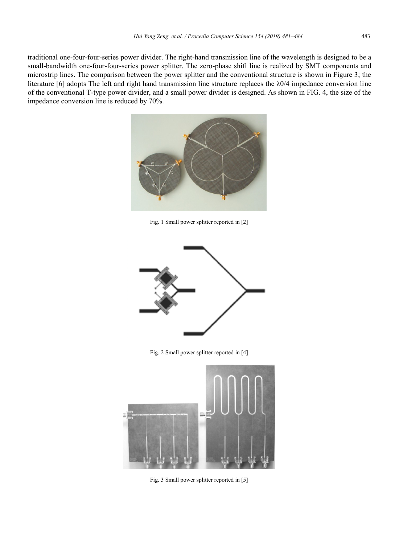traditional one-four-four-series power divider. The right-hand transmission line of the wavelength is designed to be a small-bandwidth one-four-four-series power splitter. The zero-phase shift line is realized by SMT components and microstrip lines. The comparison between the power splitter and the conventional structure is shown in Figure 3; the literature  $[6]$  adopts The left and right hand transmission line structure replaces the  $\lambda$ 0/4 impedance conversion line of the conventional T-type power divider, and a small power divider is designed. As shown in FIG. 4, the size of the impedance conversion line is reduced by 70%.



Fig. 1 Small power splitter reported in [2]



Fig. 2 Small power splitter reported in [4]



Fig. 3 Small power splitter reported in [5]